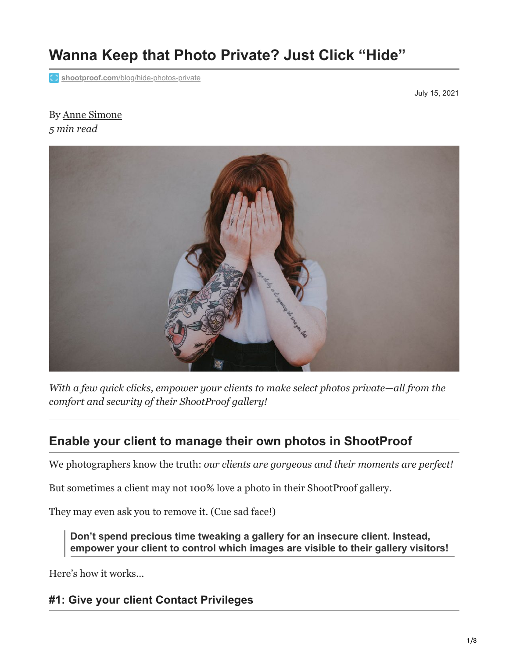# **Wanna Keep that Photo Private? Just Click "Hide"**

**Shootproof.com[/blog/hide-photos-private](https://www.shootproof.com/blog/hide-photos-private/)** 

July 15, 2021

#### By [Anne Simone](https://www.shootproof.com/blog/author/anne/) *5 min read*



*With a few quick clicks, empower your clients to make select photos private—all from the comfort and security of their ShootProof gallery!*

# **Enable your client to manage their own photos in ShootProof**

We photographers know the truth: *our clients are gorgeous and their moments are perfect!*

But sometimes a client may not 100% love a photo in their ShootProof gallery.

They may even ask you to remove it. (Cue sad face!)

**Don't spend precious time tweaking a gallery for an insecure client. Instead, empower your client to control which images are visible to their gallery visitors!**

Here's how it works…

# **#1: Give your client Contact Privileges**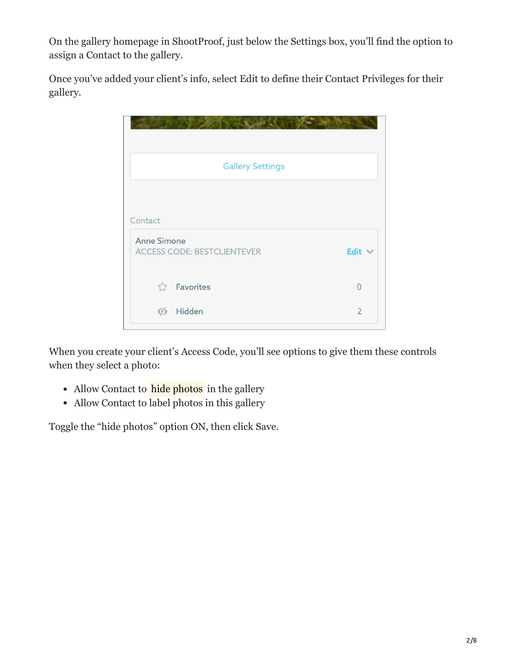On the gallery homepage in ShootProof, just below the Settings box, you'll find the option to assign a Contact to the gallery.

Once you've added your client's info, select Edit to define their Contact Privileges for their gallery.

| <b>Gallery Settings</b>            |                |
|------------------------------------|----------------|
| Contact<br><b>Anne Simone</b>      |                |
| <b>ACCESS CODE: BESTCLIENTEVER</b> | Edit $\vee$    |
| <b>Selling</b> Favorites           | $\Omega$       |
| Hidden<br>$\varphi$                | $\overline{2}$ |

When you create your client's Access Code, you'll see options to give them these controls when they select a photo:

- Allow Contact to **hide photos** in the gallery
- Allow Contact to label photos in this gallery

Toggle the "hide photos" option ON, then click Save.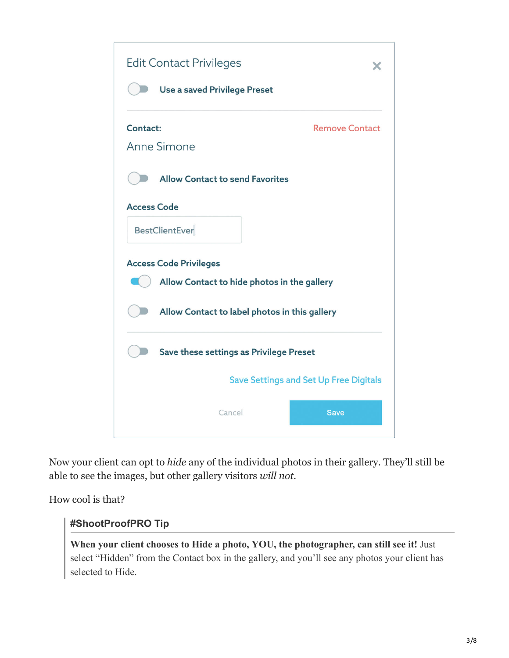

Now your client can opt to *hide* any of the individual photos in their gallery. They'll still be able to see the images, but other gallery visitors *will not.*

How cool is that?

#### **#ShootProofPRO Tip**

**When your client chooses to Hide a photo, YOU, the photographer, can still see it!** Just select "Hidden" from the Contact box in the gallery, and you'll see any photos your client has selected to Hide.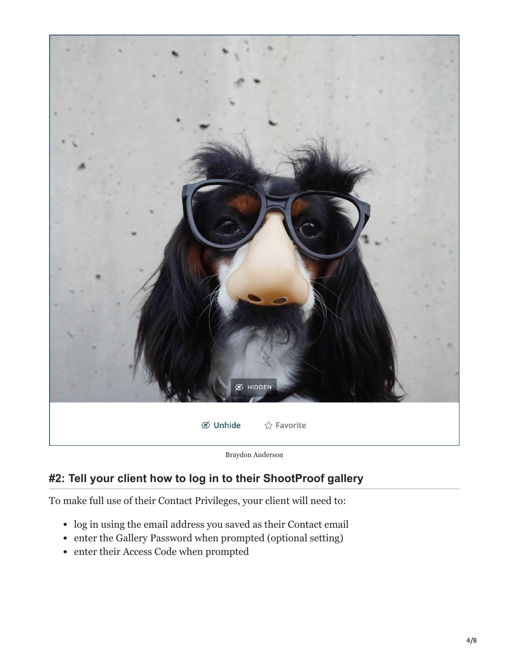

Braydon Anderson

# **#2: Tell your client how to log in to their ShootProof gallery**

To make full use of their Contact Privileges, your client will need to:

- log in using the email address you saved as their Contact email
- enter the Gallery Password when prompted (optional setting)
- enter their Access Code when prompted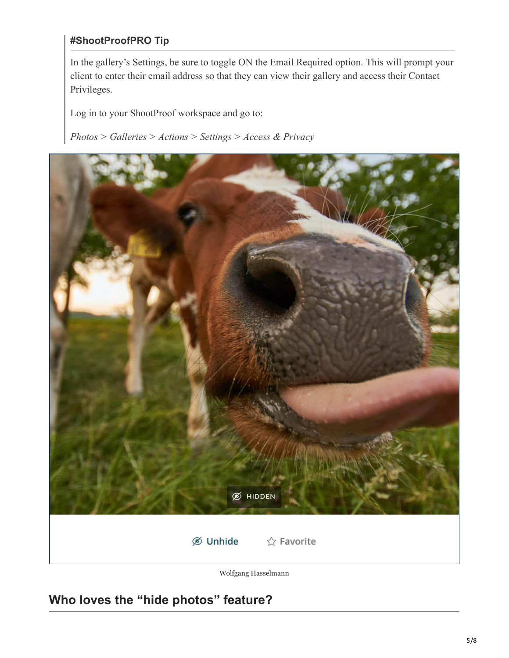#### **#ShootProofPRO Tip**

In the gallery's Settings, be sure to toggle ON the Email Required option. This will prompt your client to enter their email address so that they can view their gallery and access their Contact Privileges.

Log in to your ShootProof workspace and go to:

*Photos > Galleries > Actions > Settings > Access & Privacy*



Wolfgang Hasselmann

**Who loves the "hide photos" feature?**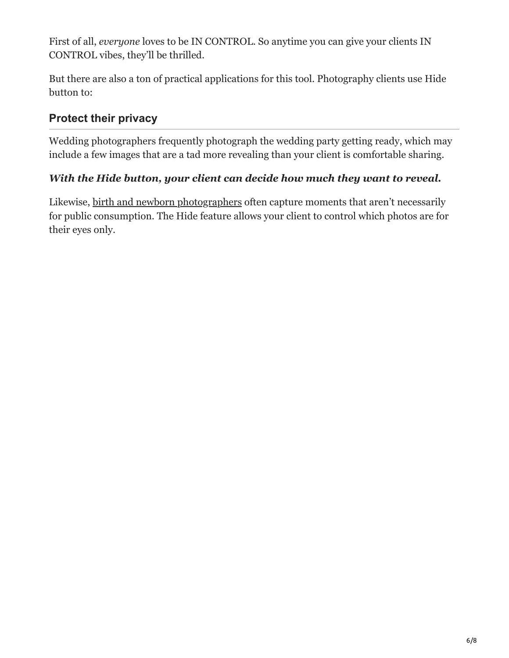First of all, *everyone* loves to be IN CONTROL. So anytime you can give your clients IN CONTROL vibes, they'll be thrilled.

But there are also a ton of practical applications for this tool. Photography clients use Hide button to:

# **Protect their privacy**

Wedding photographers frequently photograph the wedding party getting ready, which may include a few images that are a tad more revealing than your client is comfortable sharing.

# *With the Hide button, your client can decide how much they want to reveal.*

Likewise, [birth and newborn photographers](https://www.shootproof.com/blog/how-to-become-a-birth-photographer/) often capture moments that aren't necessarily for public consumption. The Hide feature allows your client to control which photos are for their eyes only.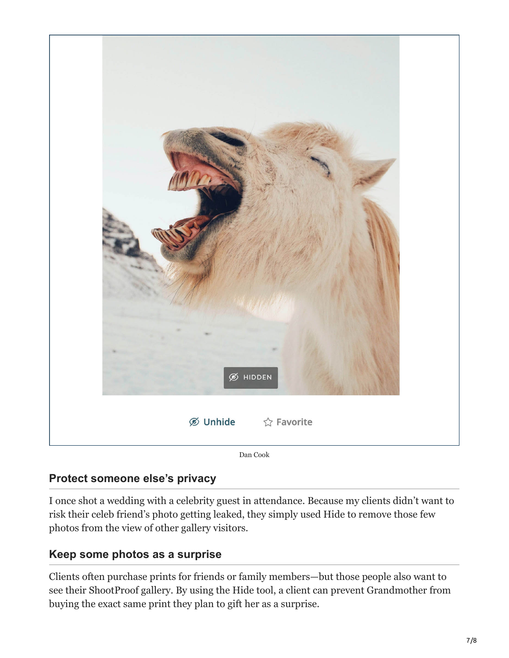

Dan Cook

# **Protect someone else's privacy**

I once shot a wedding with a celebrity guest in attendance. Because my clients didn't want to risk their celeb friend's photo getting leaked, they simply used Hide to remove those few photos from the view of other gallery visitors.

# **Keep some photos as a surprise**

Clients often purchase prints for friends or family members—but those people also want to see their ShootProof gallery. By using the Hide tool, a client can prevent Grandmother from buying the exact same print they plan to gift her as a surprise.